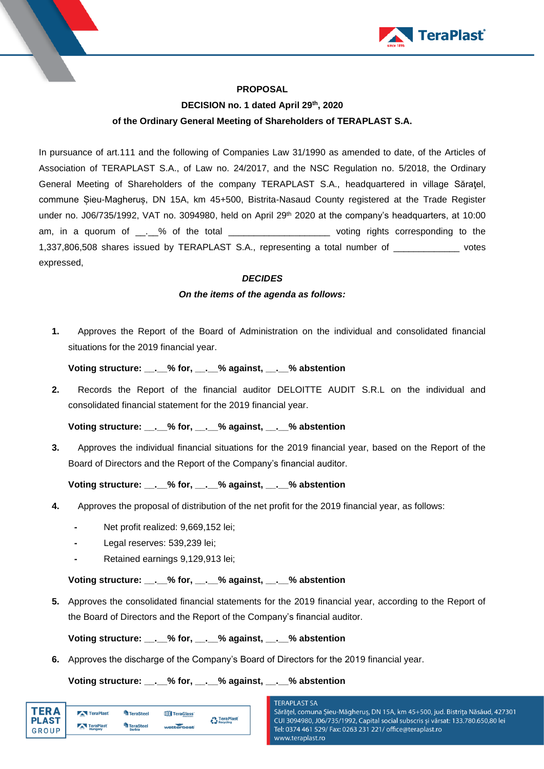

### **PROPOSAL**

# **DECISION no. 1 dated April 29 th , 2020 of the Ordinary General Meeting of Shareholders of TERAPLAST S.A.**

In pursuance of art.111 and the following of Companies Law 31/1990 as amended to date, of the Articles of Association of TERAPLAST S.A., of Law no. 24/2017, and the NSC Regulation no. 5/2018, the Ordinary General Meeting of Shareholders of the company TERAPLAST S.A., headquartered in village Săraţel, commune Șieu-Magheruș, DN 15A, km 45+500, Bistrita-Nasaud County registered at the Trade Register under no. J06/735/1992, VAT no. 3094980, held on April 29<sup>th</sup> 2020 at the company's headquarters, at 10:00 am, in a quorum of \_\_.\_% of the total \_\_\_\_\_\_\_\_\_\_\_\_\_\_\_\_\_\_\_\_\_ voting rights corresponding to the 1,337,806,508 shares issued by TERAPLAST S.A., representing a total number of \_\_\_\_\_\_\_\_\_\_\_\_\_ votes expressed,

### *DECIDES*

#### *On the items of the agenda as follows:*

**1.** Approves the Report of the Board of Administration on the individual and consolidated financial situations for the 2019 financial year.

### **Voting structure: \_\_.\_\_% for, \_\_.\_\_% against, \_\_.\_\_% abstention**

**2.** Records the Report of the financial auditor DELOITTE AUDIT S.R.L on the individual and consolidated financial statement for the 2019 financial year.

### **Voting structure: \_\_.\_\_% for, \_\_.\_\_% against, \_\_.\_\_% abstention**

**3.** Approves the individual financial situations for the 2019 financial year, based on the Report of the Board of Directors and the Report of the Company's financial auditor.

## **Voting structure: \_\_.\_\_% for, \_\_.\_\_% against, \_\_.\_\_% abstention**

- **4.** Approves the proposal of distribution of the net profit for the 2019 financial year, as follows:
	- **-** Net profit realized: 9,669,152 lei;
	- Legal reserves: 539,239 lei;
	- **-** Retained earnings 9,129,913 lei;

#### **Voting structure: \_\_.\_\_% for, \_\_.\_\_% against, \_\_.\_\_% abstention**

**5.** Approves the consolidated financial statements for the 2019 financial year, according to the Report of the Board of Directors and the Report of the Company's financial auditor.

**Voting structure: \_\_.\_\_% for, \_\_.\_\_% against, \_\_.\_\_% abstention**

**6.** Approves the discharge of the Company's Board of Directors for the 2019 financial year.

#### **Voting structure: \_\_.\_\_% for, \_\_.\_\_% against, \_\_.\_\_% abstention**

| ΈR Δ         | <b>TeraPlast</b>        | TeraSteel        | TeraGlass  | <b>A</b> TeraPlast |
|--------------|-------------------------|------------------|------------|--------------------|
| <b>PLAST</b> | TeraPlast               | <b>TeraSteel</b> |            | Recycling          |
| GROUP        | <b>COLOR</b><br>Hungary | <b>Serbia</b>    | wetterbest |                    |

# **TERAPLAST SA**

Sărățel, comuna Șieu-Măgheruș, DN 15A, km 45+500, jud. Bistrița Năsăud, 427301 CUI 3094980, J06/735/1992, Capital social subscris și vărsat: 133.780.650,80 lei Tel: 0374 461 529/ Fax: 0263 231 221/ office@teraplast.ro www.teraplast.ro